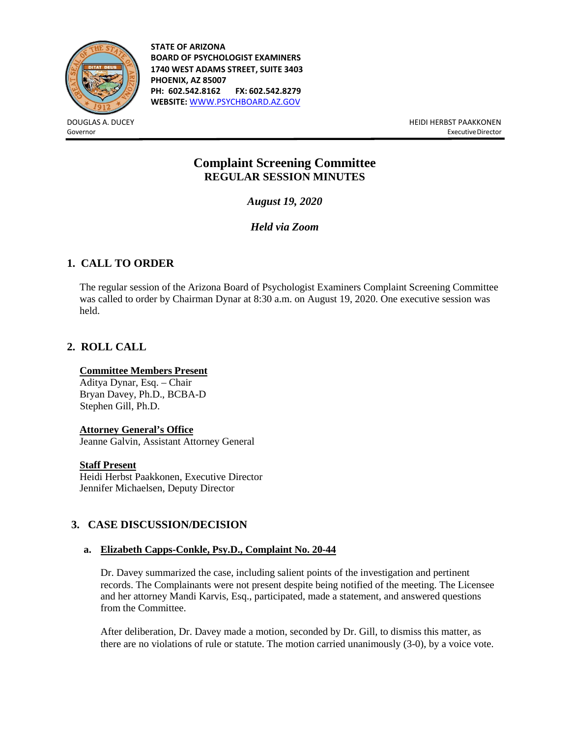

**STATE OF ARIZONA BOARD OF PSYCHOLOGIST EXAMINERS 1740 WEST ADAMS STREET, SUITE 3403 PHOENIX, AZ 85007 PH: 602.542.8162 FX: 602.542.8279 WEBSITE:** [WWW.PSYCHBOARD.AZ.GOV](http://www.psychboard.az.gov/)

DOUGLAS A. DUCEY HEIDI HERBST PAAKKONEN Governor ExecutiveDirector

# **Complaint Screening Committee REGULAR SESSION MINUTES**

*August 19, 2020*

*Held via Zoom*

## **1. CALL TO ORDER**

The regular session of the Arizona Board of Psychologist Examiners Complaint Screening Committee was called to order by Chairman Dynar at 8:30 a.m. on August 19, 2020. One executive session was held.

## **2. ROLL CALL**

## **Committee Members Present**

Aditya Dynar, Esq. – Chair Bryan Davey, Ph.D., BCBA-D Stephen Gill, Ph.D.

### **Attorney General's Office**

Jeanne Galvin, Assistant Attorney General

### **Staff Present**

Heidi Herbst Paakkonen, Executive Director Jennifer Michaelsen, Deputy Director

## **3. CASE DISCUSSION/DECISION**

### **a. Elizabeth Capps-Conkle, Psy.D., Complaint No. 20-44**

Dr. Davey summarized the case, including salient points of the investigation and pertinent records. The Complainants were not present despite being notified of the meeting. The Licensee and her attorney Mandi Karvis, Esq., participated, made a statement, and answered questions from the Committee.

After deliberation, Dr. Davey made a motion, seconded by Dr. Gill, to dismiss this matter, as there are no violations of rule or statute. The motion carried unanimously (3-0), by a voice vote.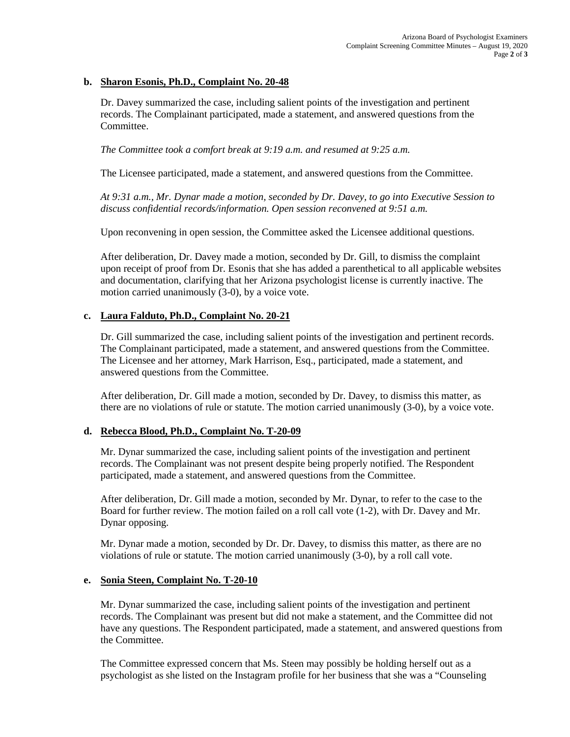### **b. Sharon Esonis, Ph.D., Complaint No. 20-48**

Dr. Davey summarized the case, including salient points of the investigation and pertinent records. The Complainant participated, made a statement, and answered questions from the Committee.

*The Committee took a comfort break at 9:19 a.m. and resumed at 9:25 a.m.* 

The Licensee participated, made a statement, and answered questions from the Committee.

*At 9:31 a.m., Mr. Dynar made a motion, seconded by Dr. Davey, to go into Executive Session to discuss confidential records/information. Open session reconvened at 9:51 a.m.*

Upon reconvening in open session, the Committee asked the Licensee additional questions.

After deliberation, Dr. Davey made a motion, seconded by Dr. Gill, to dismiss the complaint upon receipt of proof from Dr. Esonis that she has added a parenthetical to all applicable websites and documentation, clarifying that her Arizona psychologist license is currently inactive. The motion carried unanimously (3-0), by a voice vote.

#### **c. Laura Falduto, Ph.D., Complaint No. 20-21**

Dr. Gill summarized the case, including salient points of the investigation and pertinent records. The Complainant participated, made a statement, and answered questions from the Committee. The Licensee and her attorney, Mark Harrison, Esq., participated, made a statement, and answered questions from the Committee.

After deliberation, Dr. Gill made a motion, seconded by Dr. Davey, to dismiss this matter, as there are no violations of rule or statute. The motion carried unanimously (3-0), by a voice vote.

### **d. Rebecca Blood, Ph.D., Complaint No. T-20-09**

Mr. Dynar summarized the case, including salient points of the investigation and pertinent records. The Complainant was not present despite being properly notified. The Respondent participated, made a statement, and answered questions from the Committee.

After deliberation, Dr. Gill made a motion, seconded by Mr. Dynar, to refer to the case to the Board for further review. The motion failed on a roll call vote (1-2), with Dr. Davey and Mr. Dynar opposing.

Mr. Dynar made a motion, seconded by Dr. Dr. Davey, to dismiss this matter, as there are no violations of rule or statute. The motion carried unanimously (3-0), by a roll call vote.

#### **e. Sonia Steen, Complaint No. T-20-10**

Mr. Dynar summarized the case, including salient points of the investigation and pertinent records. The Complainant was present but did not make a statement, and the Committee did not have any questions. The Respondent participated, made a statement, and answered questions from the Committee.

The Committee expressed concern that Ms. Steen may possibly be holding herself out as a psychologist as she listed on the Instagram profile for her business that she was a "Counseling